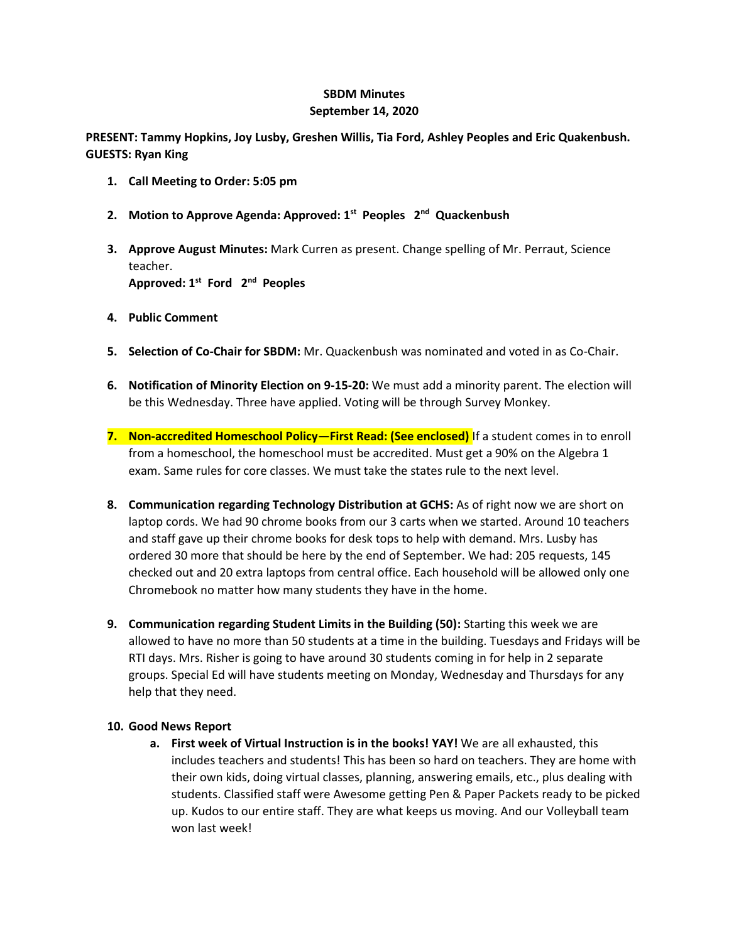## **SBDM Minutes September 14, 2020**

**PRESENT: Tammy Hopkins, Joy Lusby, Greshen Willis, Tia Ford, Ashley Peoples and Eric Quakenbush. GUESTS: Ryan King**

- **1. Call Meeting to Order: 5:05 pm**
- **2. Motion to Approve Agenda: Approved: 1st Peoples 2nd Quackenbush**
- **3. Approve August Minutes:** Mark Curren as present. Change spelling of Mr. Perraut, Science teacher. **Approved: 1st Ford 2nd Peoples**
- **4. Public Comment**
- **5. Selection of Co-Chair for SBDM:** Mr. Quackenbush was nominated and voted in as Co-Chair.
- **6. Notification of Minority Election on 9-15-20:** We must add a minority parent. The election will be this Wednesday. Three have applied. Voting will be through Survey Monkey.
- **7. Non-accredited Homeschool Policy—First Read: (See enclosed)** If a student comes in to enroll from a homeschool, the homeschool must be accredited. Must get a 90% on the Algebra 1 exam. Same rules for core classes. We must take the states rule to the next level.
- **8. Communication regarding Technology Distribution at GCHS:** As of right now we are short on laptop cords. We had 90 chrome books from our 3 carts when we started. Around 10 teachers and staff gave up their chrome books for desk tops to help with demand. Mrs. Lusby has ordered 30 more that should be here by the end of September. We had: 205 requests, 145 checked out and 20 extra laptops from central office. Each household will be allowed only one Chromebook no matter how many students they have in the home.
- **9. Communication regarding Student Limits in the Building (50):** Starting this week we are allowed to have no more than 50 students at a time in the building. Tuesdays and Fridays will be RTI days. Mrs. Risher is going to have around 30 students coming in for help in 2 separate groups. Special Ed will have students meeting on Monday, Wednesday and Thursdays for any help that they need.

## **10. Good News Report**

**a. First week of Virtual Instruction is in the books! YAY!** We are all exhausted, this includes teachers and students! This has been so hard on teachers. They are home with their own kids, doing virtual classes, planning, answering emails, etc., plus dealing with students. Classified staff were Awesome getting Pen & Paper Packets ready to be picked up. Kudos to our entire staff. They are what keeps us moving. And our Volleyball team won last week!